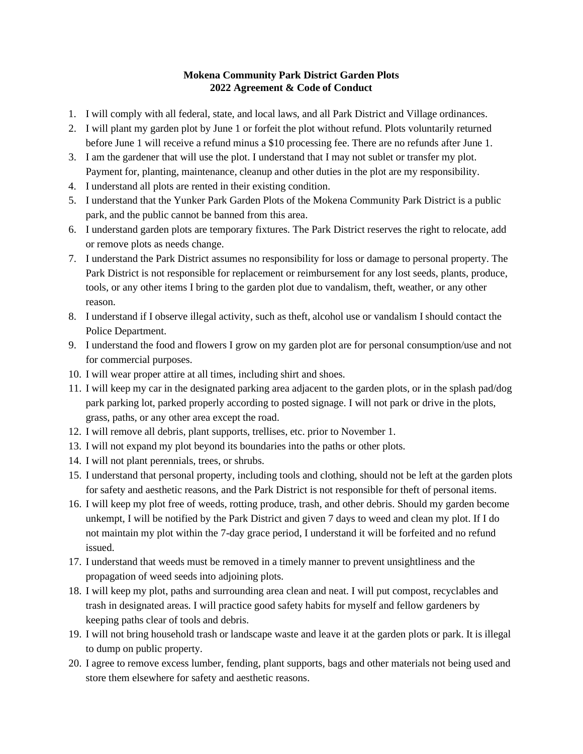## **Mokena Community Park District Garden Plots 2022 Agreement & Code of Conduct**

- 1. I will comply with all federal, state, and local laws, and all Park District and Village ordinances.
- 2. I will plant my garden plot by June 1 or forfeit the plot without refund. Plots voluntarily returned before June 1 will receive a refund minus a \$10 processing fee. There are no refunds after June 1.
- 3. I am the gardener that will use the plot. I understand that I may not sublet or transfer my plot. Payment for, planting, maintenance, cleanup and other duties in the plot are my responsibility.
- 4. I understand all plots are rented in their existing condition.
- 5. I understand that the Yunker Park Garden Plots of the Mokena Community Park District is a public park, and the public cannot be banned from this area.
- 6. I understand garden plots are temporary fixtures. The Park District reserves the right to relocate, add or remove plots as needs change.
- 7. I understand the Park District assumes no responsibility for loss or damage to personal property. The Park District is not responsible for replacement or reimbursement for any lost seeds, plants, produce, tools, or any other items I bring to the garden plot due to vandalism, theft, weather, or any other reason.
- 8. I understand if I observe illegal activity, such as theft, alcohol use or vandalism I should contact the Police Department.
- 9. I understand the food and flowers I grow on my garden plot are for personal consumption/use and not for commercial purposes.
- 10. I will wear proper attire at all times, including shirt and shoes.
- 11. I will keep my car in the designated parking area adjacent to the garden plots, or in the splash pad/dog park parking lot, parked properly according to posted signage. I will not park or drive in the plots, grass, paths, or any other area except the road.
- 12. I will remove all debris, plant supports, trellises, etc. prior to November 1.
- 13. I will not expand my plot beyond its boundaries into the paths or other plots.
- 14. I will not plant perennials, trees, or shrubs.
- 15. I understand that personal property, including tools and clothing, should not be left at the garden plots for safety and aesthetic reasons, and the Park District is not responsible for theft of personal items.
- 16. I will keep my plot free of weeds, rotting produce, trash, and other debris. Should my garden become unkempt, I will be notified by the Park District and given 7 days to weed and clean my plot. If I do not maintain my plot within the 7-day grace period, I understand it will be forfeited and no refund issued.
- 17. I understand that weeds must be removed in a timely manner to prevent unsightliness and the propagation of weed seeds into adjoining plots.
- 18. I will keep my plot, paths and surrounding area clean and neat. I will put compost, recyclables and trash in designated areas. I will practice good safety habits for myself and fellow gardeners by keeping paths clear of tools and debris.
- 19. I will not bring household trash or landscape waste and leave it at the garden plots or park. It is illegal to dump on public property.
- 20. I agree to remove excess lumber, fending, plant supports, bags and other materials not being used and store them elsewhere for safety and aesthetic reasons.